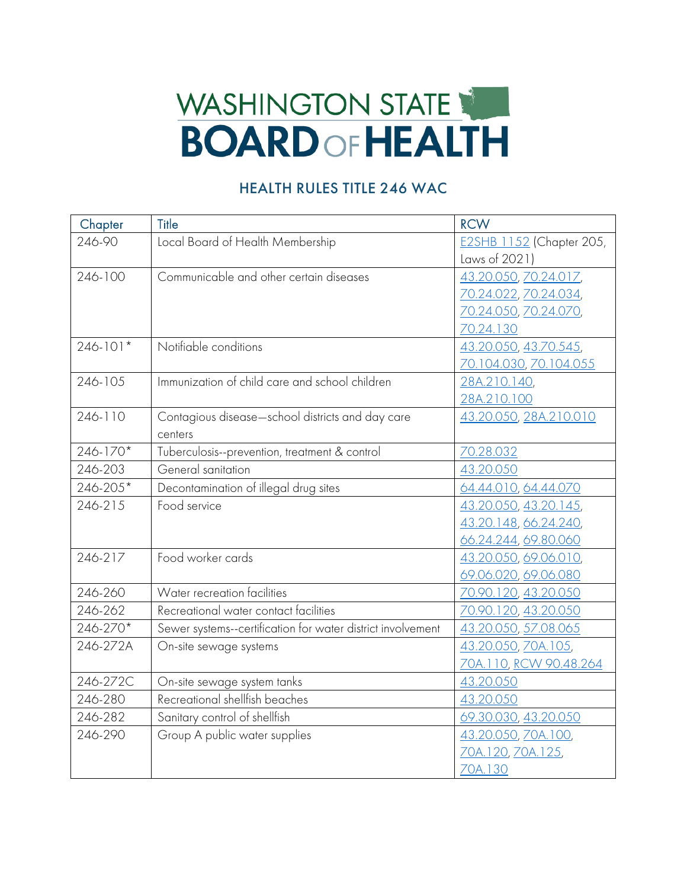## WASHINGTON STATE **BOARD OF HEALTH**

## HEALTH RULES TITLE 246 WAC

| Chapter      | Title                                                       | <b>RCW</b>                      |
|--------------|-------------------------------------------------------------|---------------------------------|
| 246-90       | Local Board of Health Membership                            | <b>E2SHB 1152 (Chapter 205,</b> |
|              |                                                             | Laws of 2021)                   |
| 246-100      | Communicable and other certain diseases                     | 43.20.050, 70.24.017,           |
|              |                                                             | 70.24.022, 70.24.034,           |
|              |                                                             | 70.24.050, 70.24.070,           |
|              |                                                             | 70.24.130                       |
| $246 - 101*$ | Notifiable conditions                                       | 43.20.050, 43.70.545,           |
|              |                                                             | <u>70.104.030, 70.104.055</u>   |
| 246-105      | Immunization of child care and school children              | 28A.210.140,                    |
|              |                                                             | 28A.210.100                     |
| 246-110      | Contagious disease-school districts and day care            | 43.20.050, 28A.210.010          |
|              | centers                                                     |                                 |
| 246-170*     | Tuberculosis--prevention, treatment & control               | 70.28.032                       |
| 246-203      | General sanitation                                          | 43.20.050                       |
| 246-205*     | Decontamination of illegal drug sites                       | 64.44.010, 64.44.070            |
| 246-215      | Food service                                                | 43.20.050, 43.20.145,           |
|              |                                                             | 43.20.148, 66.24.240,           |
|              |                                                             | 66.24.244, 69.80.060            |
| 246-217      | Food worker cards                                           | 43.20.050, 69.06.010,           |
|              |                                                             | 69.06.020, 69.06.080            |
| 246-260      | Water recreation facilities                                 | 70.90.120, 43.20.050            |
| 246-262      | Recreational water contact facilities                       | 70.90.120, 43.20.050            |
| 246-270*     | Sewer systems--certification for water district involvement | 43.20.050, 57.08.065            |
| 246-272A     | On-site sewage systems                                      | 43.20.050, 70A.105,             |
|              |                                                             | 70A.110, RCW 90.48.264          |
| 246-272C     | On-site sewage system tanks                                 | 43.20.050                       |
| 246-280      | Recreational shellfish beaches                              | 43.20.050                       |
| 246-282      | Sanitary control of shellfish                               | 69.30.030, 43.20.050            |
| 246-290      | Group A public water supplies                               | 43.20.050, ZOA.100,             |
|              |                                                             | 70A.120, 70A.125,               |
|              |                                                             | 70A.130                         |